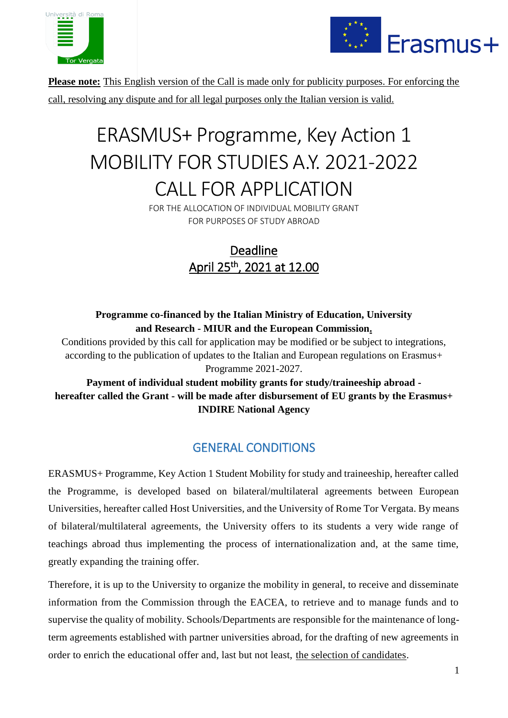



**Please note:** This English version of the Call is made only for publicity purposes. For enforcing the call, resolving any dispute and for all legal purposes only the Italian version is valid.

# ERASMUS+ Programme, Key Action 1 MOBILITY FOR STUDIES A.Y. 2021-2022 CALL FOR APPLICATION

FOR THE ALLOCATION OF INDIVIDUAL MOBILITY GRANT FOR PURPOSES OF STUDY ABROAD

> Deadline April 25th , 2021 at 12.00

# **Programme co-financed by the Italian Ministry of Education, University and Research - MIUR and the European Commission.**

Conditions provided by this call for application may be modified or be subject to integrations, according to the publication of updates to the Italian and European regulations on Erasmus+ Programme 2021-2027.

**Payment of individual student mobility grants for study/traineeship abroad hereafter called the Grant - will be made after disbursement of EU grants by the Erasmus+ INDIRE National Agency**

# GENERAL CONDITIONS

ERASMUS+ Programme, Key Action 1 Student Mobility for study and traineeship, hereafter called the Programme, is developed based on bilateral/multilateral agreements between European Universities, hereafter called Host Universities, and the University of Rome Tor Vergata. By means of bilateral/multilateral agreements, the University offers to its students a very wide range of teachings abroad thus implementing the process of internationalization and, at the same time, greatly expanding the training offer.

Therefore, it is up to the University to organize the mobility in general, to receive and disseminate information from the Commission through the EACEA, to retrieve and to manage funds and to supervise the quality of mobility. Schools/Departments are responsible for the maintenance of longterm agreements established with partner universities abroad, for the drafting of new agreements in order to enrich the educational offer and, last but not least, the selection of candidates.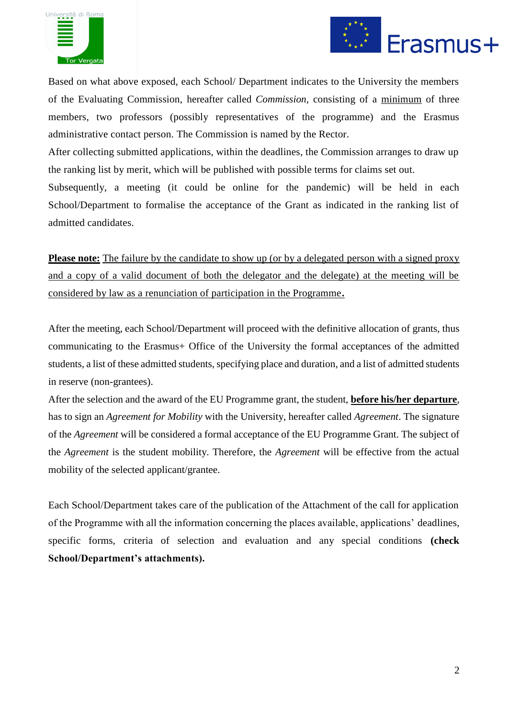



Based on what above exposed, each School/ Department indicates to the University the members of the Evaluating Commission, hereafter called *Commission,* consisting of a minimum of three members, two professors (possibly representatives of the programme) and the Erasmus administrative contact person. The Commission is named by the Rector.

After collecting submitted applications, within the deadlines, the Commission arranges to draw up the ranking list by merit, which will be published with possible terms for claims set out.

Subsequently, a meeting (it could be online for the pandemic) will be held in each School/Department to formalise the acceptance of the Grant as indicated in the ranking list of admitted candidates.

**Please note:** The failure by the candidate to show up (or by a delegated person with a signed proxy and a copy of a valid document of both the delegator and the delegate) at the meeting will be considered by law as a renunciation of participation in the Programme**.**

After the meeting, each School/Department will proceed with the definitive allocation of grants, thus communicating to the Erasmus+ Office of the University the formal acceptances of the admitted students, a list of these admitted students, specifying place and duration, and a list of admitted students in reserve (non-grantees).

After the selection and the award of the EU Programme grant, the student, **before his/her departure**, has to sign an *Agreement for Mobility* with the University, hereafter called *Agreement*. The signature of the *Agreement* will be considered a formal acceptance of the EU Programme Grant. The subject of the *Agreement* is the student mobility. Therefore, the *Agreement* will be effective from the actual mobility of the selected applicant/grantee.

Each School/Department takes care of the publication of the Attachment of the call for application of the Programme with all the information concerning the places available, applications' deadlines, specific forms, criteria of selection and evaluation and any special conditions **(check School/Department's attachments).**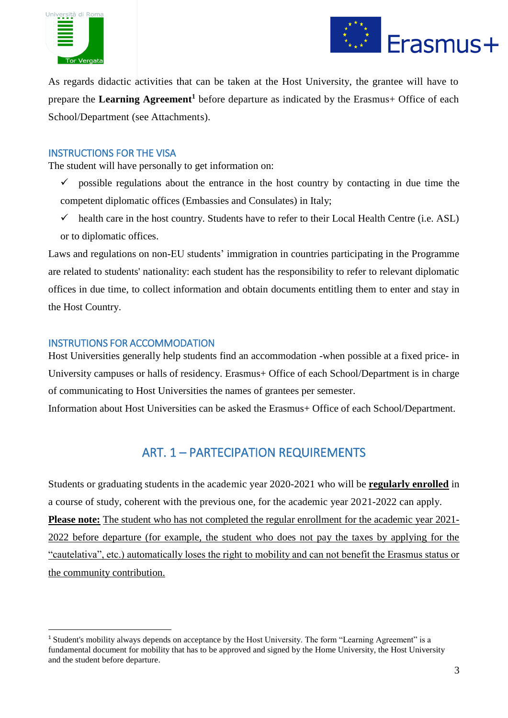



As regards didactic activities that can be taken at the Host University, the grantee will have to prepare the **Learning Agreement<sup>1</sup>** before departure as indicated by the Erasmus+ Office of each School/Department (see Attachments).

## INSTRUCTIONS FOR THE VISA

The student will have personally to get information on:

- $\checkmark$  possible regulations about the entrance in the host country by contacting in due time the competent diplomatic offices (Embassies and Consulates) in Italy;
- $\checkmark$  health care in the host country. Students have to refer to their Local Health Centre (i.e. ASL) or to diplomatic offices.

Laws and regulations on non-EU students' immigration in countries participating in the Programme are related to students' nationality: each student has the responsibility to refer to relevant diplomatic offices in due time, to collect information and obtain documents entitling them to enter and stay in the Host Country.

## INSTRUTIONS FOR ACCOMMODATION

**.** 

Host Universities generally help students find an accommodation -when possible at a fixed price- in University campuses or halls of residency. Erasmus+ Office of each School/Department is in charge of communicating to Host Universities the names of grantees per semester.

Information about Host Universities can be asked the Erasmus+ Office of each School/Department.

# ART. 1 – PARTECIPATION REQUIREMENTS

Students or graduating students in the academic year 2020-2021 who will be **regularly enrolled** in a course of study, coherent with the previous one, for the academic year 2021-2022 can apply. **Please note:** The student who has not completed the regular enrollment for the academic year 2021- 2022 before departure (for example, the student who does not pay the taxes by applying for the "cautelativa", etc.) automatically loses the right to mobility and can not benefit the Erasmus status or the community contribution.

<sup>&</sup>lt;sup>1</sup> Student's mobility always depends on acceptance by the Host University. The form "Learning Agreement" is a fundamental document for mobility that has to be approved and signed by the Home University, the Host University and the student before departure.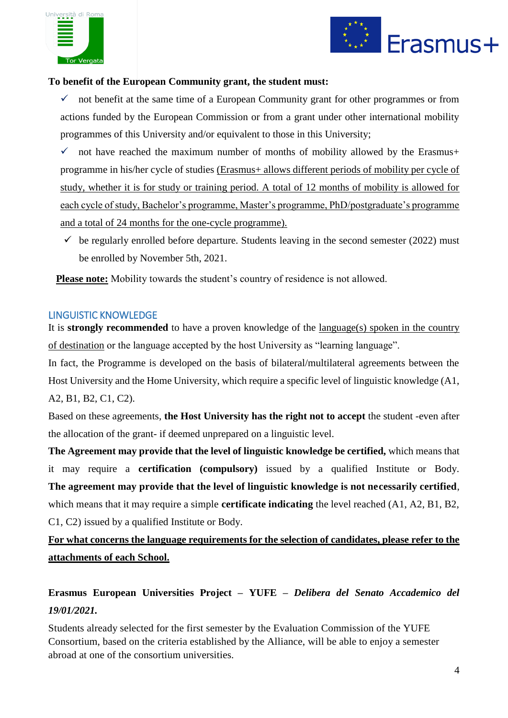



#### **To benefit of the European Community grant, the student must:**

 $\checkmark$  not benefit at the same time of a European Community grant for other programmes or from actions funded by the European Commission or from a grant under other international mobility programmes of this University and/or equivalent to those in this University;

 $\checkmark$  not have reached the maximum number of months of mobility allowed by the Erasmus+ programme in his/her cycle of studies (Erasmus+ allows different periods of mobility per cycle of study, whether it is for study or training period. A total of 12 months of mobility is allowed for each cycle of study, Bachelor's programme, Master's programme, PhD/postgraduate's programme and a total of 24 months for the one-cycle programme).

 $\checkmark$  be regularly enrolled before departure. Students leaving in the second semester (2022) must be enrolled by November 5th, 2021.

 **Please note:** Mobility towards the student's country of residence is not allowed.

#### LINGUISTIC KNOWLEDGE

It is **strongly recommended** to have a proven knowledge of the language(s) spoken in the country of destination or the language accepted by the host University as "learning language".

In fact, the Programme is developed on the basis of bilateral/multilateral agreements between the Host University and the Home University, which require a specific level of linguistic knowledge (A1, A2, B1, B2, C1, C2).

Based on these agreements, **the Host University has the right not to accept** the student -even after the allocation of the grant- if deemed unprepared on a linguistic level.

**The Agreement may provide that the level of linguistic knowledge be certified,** which means that it may require a **certification (compulsory)** issued by a qualified Institute or Body. **The agreement may provide that the level of linguistic knowledge is not necessarily certified**, which means that it may require a simple **certificate indicating** the level reached (A1, A2, B1, B2, C1, C2) issued by a qualified Institute or Body.

**For what concerns the language requirements for the selection of candidates, please refer to the attachments of each School.**

# **Erasmus European Universities Project – YUFE –** *Delibera del Senato Accademico del 19/01/2021.*

Students already selected for the first semester by the Evaluation Commission of the YUFE Consortium, based on the criteria established by the Alliance, will be able to enjoy a semester abroad at one of the consortium universities.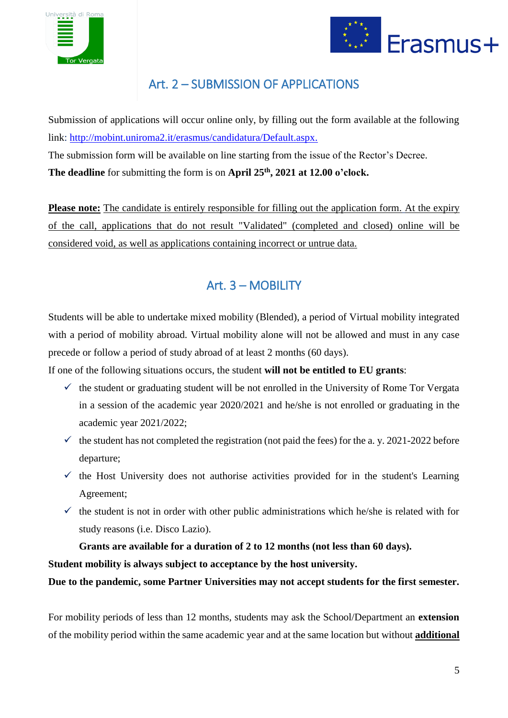



# Art. 2 – SUBMISSION OF APPLICATIONS

Submission of applications will occur online only, by filling out the form available at the following link: [http://mobint.uniroma2.it/erasmus/candidatura/Default.aspx.](http://mobint.uniroma2.it/erasmus/candidatura/Default.aspx) The submission form will be available on line starting from the issue of the Rector's Decree. **The deadline** for submitting the form is on **April 25th, 2021 at 12.00 o'clock.**

**Please note:** The candidate is entirely responsible for filling out the application form. At the expiry of the call, applications that do not result "Validated" (completed and closed) online will be considered void, as well as applications containing incorrect or untrue data.

# Art. 3 – MOBILITY

Students will be able to undertake mixed mobility (Blended), a period of Virtual mobility integrated with a period of mobility abroad. Virtual mobility alone will not be allowed and must in any case precede or follow a period of study abroad of at least 2 months (60 days).

If one of the following situations occurs, the student **will not be entitled to EU grants**:

- $\checkmark$  the student or graduating student will be not enrolled in the University of Rome Tor Vergata in a session of the academic year 2020/2021 and he/she is not enrolled or graduating in the academic year 2021/2022;
- $\checkmark$  the student has not completed the registration (not paid the fees) for the a. y. 2021-2022 before departure;
- $\checkmark$  the Host University does not authorise activities provided for in the student's Learning Agreement;
- $\checkmark$  the student is not in order with other public administrations which he/she is related with for study reasons (i.e. Disco Lazio).

# **Grants are available for a duration of 2 to 12 months (not less than 60 days).**

**Student mobility is always subject to acceptance by the host university.**

**Due to the pandemic, some Partner Universities may not accept students for the first semester.**

For mobility periods of less than 12 months, students may ask the School/Department an **extension** of the mobility period within the same academic year and at the same location but without **additional**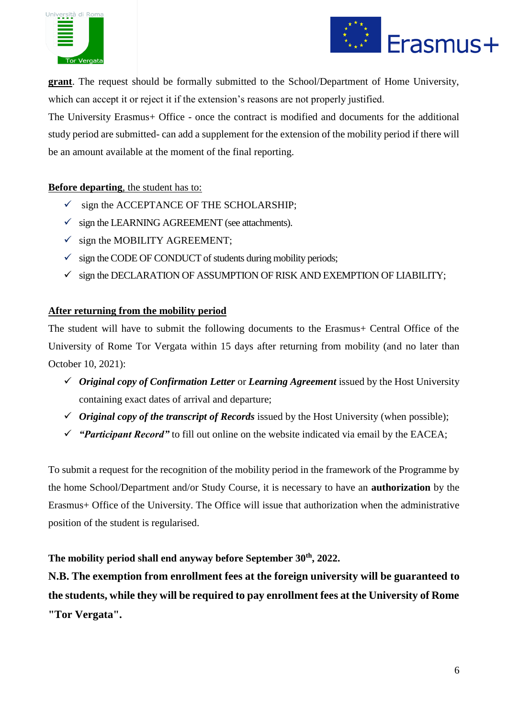



**grant**. The request should be formally submitted to the School/Department of Home University, which can accept it or reject it if the extension's reasons are not properly justified.

The University Erasmus+ Office - once the contract is modified and documents for the additional study period are submitted- can add a supplement for the extension of the mobility period if there will be an amount available at the moment of the final reporting.

# **Before departing**, the student has to:

- $\checkmark$  sign the ACCEPTANCE OF THE SCHOLARSHIP;
- $\checkmark$  sign the LEARNING AGREEMENT (see attachments).
- $\checkmark$  sign the MOBILITY AGREEMENT;
- $\checkmark$  sign the CODE OF CONDUCT of students during mobility periods;
- $\checkmark$  sign the DECLARATION OF ASSUMPTION OF RISK AND EXEMPTION OF LIABILITY;

## **After returning from the mobility period**

The student will have to submit the following documents to the Erasmus+ Central Office of the University of Rome Tor Vergata within 15 days after returning from mobility (and no later than October 10, 2021):

- ✓ *Original copy of Confirmation Letter* or *Learning Agreement* issued by the Host University containing exact dates of arrival and departure;
- $\checkmark$  *Original copy of the transcript of Records* issued by the Host University (when possible);
- ✓ *"Participant Record"* to fill out online on the website indicated via email by the EACEA;

To submit a request for the recognition of the mobility period in the framework of the Programme by the home School/Department and/or Study Course, it is necessary to have an **authorization** by the Erasmus+ Office of the University. The Office will issue that authorization when the administrative position of the student is regularised.

## **The mobility period shall end anyway before September 30th, 2022.**

**N.B. The exemption from enrollment fees at the foreign university will be guaranteed to the students, while they will be required to pay enrollment fees at the University of Rome "Tor Vergata".**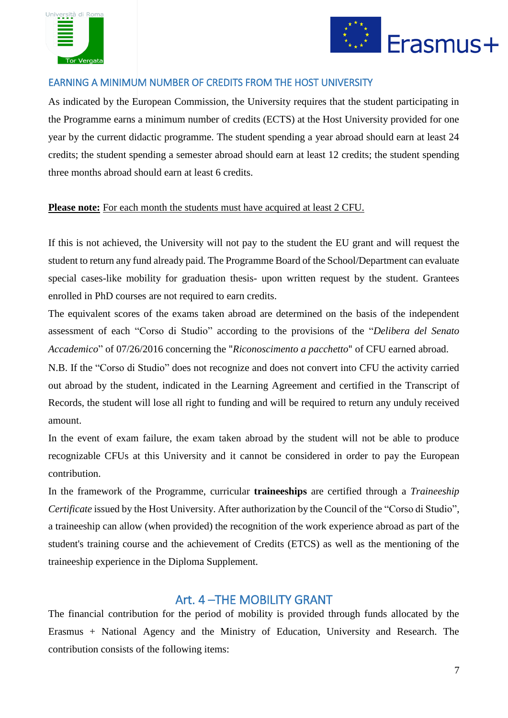



# EARNING A MINIMUM NUMBER OF CREDITS FROM THE HOST UNIVERSITY

As indicated by the European Commission, the University requires that the student participating in the Programme earns a minimum number of credits (ECTS) at the Host University provided for one year by the current didactic programme. The student spending a year abroad should earn at least 24 credits; the student spending a semester abroad should earn at least 12 credits; the student spending three months abroad should earn at least 6 credits.

## **Please note:** For each month the students must have acquired at least 2 CFU.

If this is not achieved, the University will not pay to the student the EU grant and will request the student to return any fund already paid. The Programme Board of the School/Department can evaluate special cases-like mobility for graduation thesis- upon written request by the student. Grantees enrolled in PhD courses are not required to earn credits.

The equivalent scores of the exams taken abroad are determined on the basis of the independent assessment of each "Corso di Studio" according to the provisions of the "*Delibera del Senato Accademico*" of 07/26/2016 concerning the "*Riconoscimento a pacchetto*" of CFU earned abroad.

N.B. If the "Corso di Studio" does not recognize and does not convert into CFU the activity carried out abroad by the student, indicated in the Learning Agreement and certified in the Transcript of Records, the student will lose all right to funding and will be required to return any unduly received amount.

In the event of exam failure, the exam taken abroad by the student will not be able to produce recognizable CFUs at this University and it cannot be considered in order to pay the European contribution.

In the framework of the Programme, curricular **traineeships** are certified through a *Traineeship Certificate* issued by the Host University. After authorization by the Council of the "Corso di Studio", a traineeship can allow (when provided) the recognition of the work experience abroad as part of the student's training course and the achievement of Credits (ETCS) as well as the mentioning of the traineeship experience in the Diploma Supplement.

# Art. 4 –THE MOBILITY GRANT

The financial contribution for the period of mobility is provided through funds allocated by the Erasmus + National Agency and the Ministry of Education, University and Research. The contribution consists of the following items: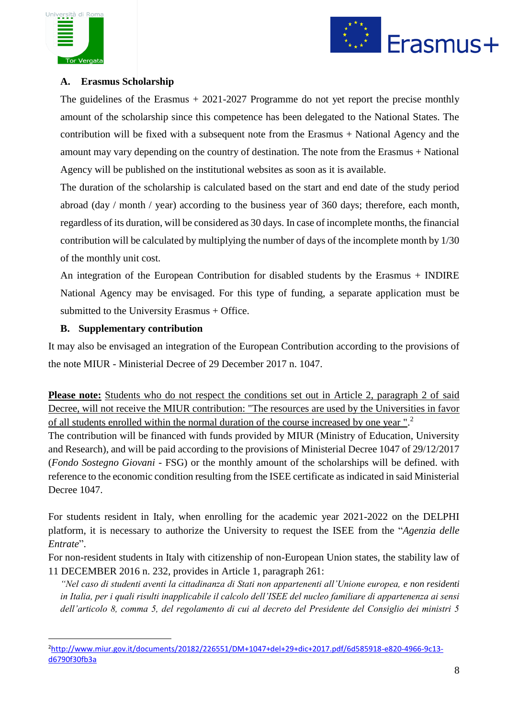



## **A. Erasmus Scholarship**

The guidelines of the Erasmus  $+ 2021-2027$  Programme do not yet report the precise monthly amount of the scholarship since this competence has been delegated to the National States. The contribution will be fixed with a subsequent note from the Erasmus + National Agency and the amount may vary depending on the country of destination. The note from the Erasmus + National Agency will be published on the institutional websites as soon as it is available.

The duration of the scholarship is calculated based on the start and end date of the study period abroad (day / month / year) according to the business year of 360 days; therefore, each month, regardless of its duration, will be considered as 30 days. In case of incomplete months, the financial contribution will be calculated by multiplying the number of days of the incomplete month by 1/30 of the monthly unit cost.

An integration of the European Contribution for disabled students by the Erasmus + INDIRE National Agency may be envisaged. For this type of funding, a separate application must be submitted to the University Erasmus + Office.

# **B. Supplementary contribution**

1

It may also be envisaged an integration of the European Contribution according to the provisions of the note MIUR - Ministerial Decree of 29 December 2017 n. 1047.

Please note: Students who do not respect the conditions set out in Article 2, paragraph 2 of said Decree, will not receive the MIUR contribution: "The resources are used by the Universities in favor of all students enrolled within the normal duration of the course increased by one year ". 2 The contribution will be financed with funds provided by MIUR (Ministry of Education, University and Research), and will be paid according to the provisions of Ministerial Decree 1047 of 29/12/2017 (*Fondo Sostegno Giovani* - FSG) or the monthly amount of the scholarships will be defined. with reference to the economic condition resulting from the ISEE certificate as indicated in said Ministerial Decree 1047.

For students resident in Italy, when enrolling for the academic year 2021-2022 on the DELPHI platform, it is necessary to authorize the University to request the ISEE from the "*Agenzia delle Entrate*".

For non-resident students in Italy with citizenship of non-European Union states, the stability law of 11 DECEMBER 2016 n. 232, provides in Article 1, paragraph 261:

*"Nel caso di studenti aventi la cittadinanza di Stati non appartenenti all'Unione europea, e non residenti in Italia, per i quali risulti inapplicabile il calcolo dell'ISEE del nucleo familiare di appartenenza ai sensi dell'articolo 8, comma 5, del regolamento di cui al decreto del Presidente del Consiglio dei ministri 5* 

<sup>2</sup>[http://www.miur.gov.it/documents/20182/226551/DM+1047+del+29+dic+2017.pdf/6d585918-e820-4966-9c13](http://www.miur.gov.it/documents/20182/226551/DM+1047+del+29+dic+2017.pdf/6d585918-e820-4966-9c13-d6790f30fb3a) [d6790f30fb3a](http://www.miur.gov.it/documents/20182/226551/DM+1047+del+29+dic+2017.pdf/6d585918-e820-4966-9c13-d6790f30fb3a)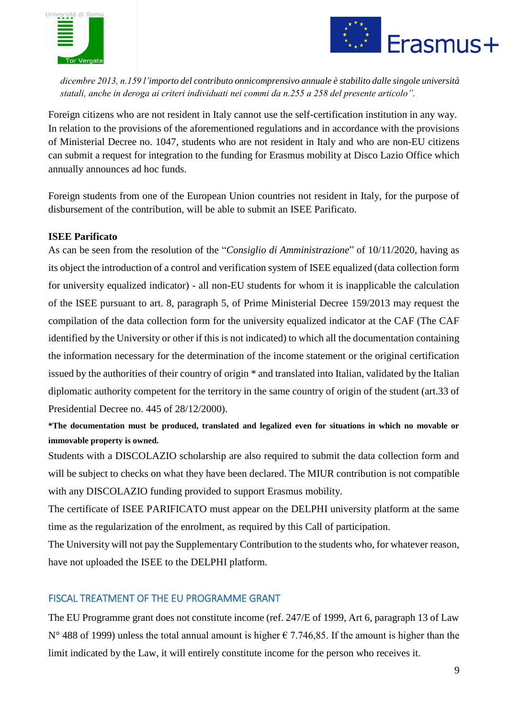



*dicembre 2013, n.159 l'importo del contributo onnicomprensivo annuale è stabilito dalle singole università statali, anche in deroga ai criteri individuati nei commi da n.255 a 258 del presente articolo".*

Foreign citizens who are not resident in Italy cannot use the self-certification institution in any way. In relation to the provisions of the aforementioned regulations and in accordance with the provisions of Ministerial Decree no. 1047, students who are not resident in Italy and who are non-EU citizens can submit a request for integration to the funding for Erasmus mobility at Disco Lazio Office which annually announces ad hoc funds.

Foreign students from one of the European Union countries not resident in Italy, for the purpose of disbursement of the contribution, will be able to submit an ISEE Parificato.

# **ISEE Parificato**

As can be seen from the resolution of the "*Consiglio di Amministrazione*" of 10/11/2020, having as its object the introduction of a control and verification system of ISEE equalized (data collection form for university equalized indicator) - all non-EU students for whom it is inapplicable the calculation of the ISEE pursuant to art. 8, paragraph 5, of Prime Ministerial Decree 159/2013 may request the compilation of the data collection form for the university equalized indicator at the CAF (The CAF identified by the University or other if this is not indicated) to which all the documentation containing the information necessary for the determination of the income statement or the original certification issued by the authorities of their country of origin \* and translated into Italian, validated by the Italian diplomatic authority competent for the territory in the same country of origin of the student (art.33 of Presidential Decree no. 445 of 28/12/2000).

**\*The documentation must be produced, translated and legalized even for situations in which no movable or immovable property is owned.**

Students with a DISCOLAZIO scholarship are also required to submit the data collection form and will be subject to checks on what they have been declared. The MIUR contribution is not compatible with any DISCOLAZIO funding provided to support Erasmus mobility.

The certificate of ISEE PARIFICATO must appear on the DELPHI university platform at the same time as the regularization of the enrolment, as required by this Call of participation.

The University will not pay the Supplementary Contribution to the students who, for whatever reason, have not uploaded the ISEE to the DELPHI platform.

## FISCAL TREATMENT OF THE EU PROGRAMME GRANT

The EU Programme grant does not constitute income (ref. 247/E of 1999, Art 6, paragraph 13 of Law N° 488 of 1999) unless the total annual amount is higher  $\epsilon$  7.746,85. If the amount is higher than the limit indicated by the Law, it will entirely constitute income for the person who receives it.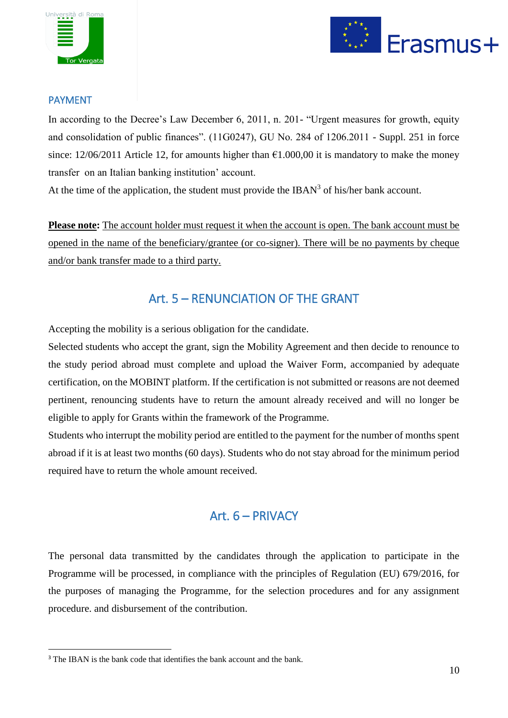



## PAYMENT

In according to the Decree's Law December 6, 2011, n. 201- "Urgent measures for growth, equity and consolidation of public finances". (11G0247), GU No. 284 of 1206.2011 - Suppl. 251 in force since: 12/06/2011 Article 12, for amounts higher than  $\epsilon$ 1.000,00 it is mandatory to make the money transfer on an Italian banking institution' account.

At the time of the application, the student must provide the IBAN<sup>3</sup> of his/her bank account.

**Please note:** The account holder must request it when the account is open. The bank account must be opened in the name of the beneficiary/grantee (or co-signer). There will be no payments by cheque and/or bank transfer made to a third party.

# Art. 5 – RENUNCIATION OF THE GRANT

Accepting the mobility is a serious obligation for the candidate.

Selected students who accept the grant, sign the Mobility Agreement and then decide to renounce to the study period abroad must complete and upload the Waiver Form, accompanied by adequate certification, on the MOBINT platform. If the certification is not submitted or reasons are not deemed pertinent, renouncing students have to return the amount already received and will no longer be eligible to apply for Grants within the framework of the Programme.

Students who interrupt the mobility period are entitled to the payment for the number of months spent abroad if it is at least two months (60 days). Students who do not stay abroad for the minimum period required have to return the whole amount received.

# Art. 6 – PRIVACY

The personal data transmitted by the candidates through the application to participate in the Programme will be processed, in compliance with the principles of Regulation (EU) 679/2016, for the purposes of managing the Programme, for the selection procedures and for any assignment procedure. and disbursement of the contribution.

**.** 

<sup>&</sup>lt;sup>3</sup> The IBAN is the bank code that identifies the bank account and the bank.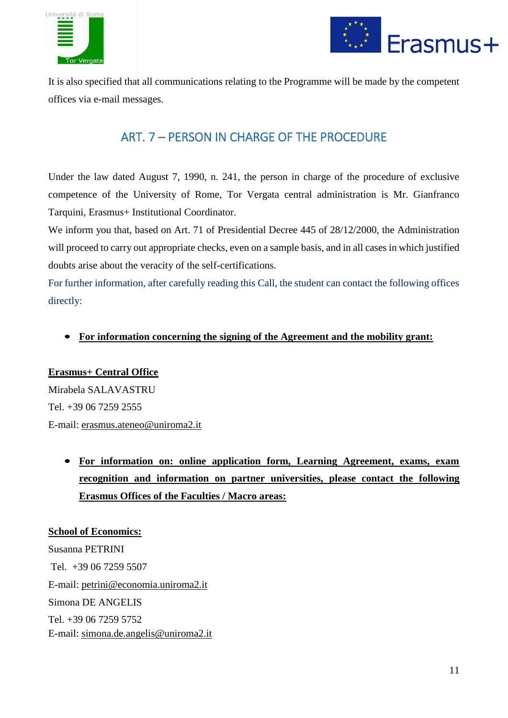



It is also specified that all communications relating to the Programme will be made by the competent offices via e-mail messages.

# ART. 7 – PERSON IN CHARGE OF THE PROCEDURE

Under the law dated August 7, 1990, n. 241, the person in charge of the procedure of exclusive competence of the University of Rome, Tor Vergata central administration is Mr. Gianfranco Tarquini, Erasmus+ Institutional Coordinator.

We inform you that, based on Art. 71 of Presidential Decree 445 of 28/12/2000, the Administration will proceed to carry out appropriate checks, even on a sample basis, and in all cases in which justified doubts arise about the veracity of the self-certifications.

For further information, after carefully reading this Call, the student can contact the following offices directly:

# • **For information concerning the signing of the Agreement and the mobility grant:**

# **Erasmus+ Central Office** Mirabela SALAVASTRU Tel. +39 06 7259 2555 E-mail: [erasmus.ateneo@uniroma2.it](mailto:erasmus.ateneo@uniroma2.it)

• **For information on: online application form, Learning Agreement, exams, exam recognition and information on partner universities, please contact the following Erasmus Offices of the Faculties / Macro areas:**

**School of Economics:** Susanna PETRINI Tel. +39 06 7259 5507 E-mail: [petrini@economia.uniroma2.it](mailto:petrini@economia.uniroma2.it) Simona DE ANGELIS Tel. +39 06 7259 5752 E-mail: simona.de.angelis@uniroma2.it